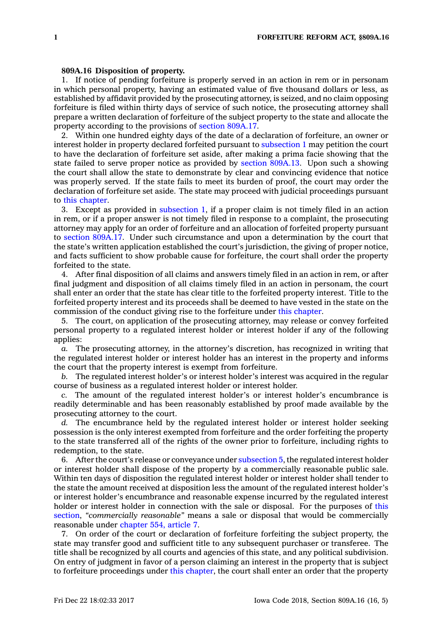## **809A.16 Disposition of property.**

1. If notice of pending forfeiture is properly served in an action in rem or in personam in which personal property, having an estimated value of five thousand dollars or less, as established by affidavit provided by the prosecuting attorney, is seized, and no claim opposing forfeiture is filed within thirty days of service of such notice, the prosecuting attorney shall prepare <sup>a</sup> written declaration of forfeiture of the subject property to the state and allocate the property according to the provisions of section [809A.17](https://www.legis.iowa.gov/docs/code/809A.17.pdf).

2. Within one hundred eighty days of the date of <sup>a</sup> declaration of forfeiture, an owner or interest holder in property declared forfeited pursuant to [subsection](https://www.legis.iowa.gov/docs/code/809A.16.pdf) 1 may petition the court to have the declaration of forfeiture set aside, after making <sup>a</sup> prima facie showing that the state failed to serve proper notice as provided by section [809A.13](https://www.legis.iowa.gov/docs/code/809A.13.pdf). Upon such <sup>a</sup> showing the court shall allow the state to demonstrate by clear and convincing evidence that notice was properly served. If the state fails to meet its burden of proof, the court may order the declaration of forfeiture set aside. The state may proceed with judicial proceedings pursuant to this [chapter](https://www.legis.iowa.gov/docs/code//809A.pdf).

3. Except as provided in [subsection](https://www.legis.iowa.gov/docs/code/809A.16.pdf) 1, if <sup>a</sup> proper claim is not timely filed in an action in rem, or if <sup>a</sup> proper answer is not timely filed in response to <sup>a</sup> complaint, the prosecuting attorney may apply for an order of forfeiture and an allocation of forfeited property pursuant to section [809A.17](https://www.legis.iowa.gov/docs/code/809A.17.pdf). Under such circumstance and upon <sup>a</sup> determination by the court that the state's written application established the court's jurisdiction, the giving of proper notice, and facts sufficient to show probable cause for forfeiture, the court shall order the property forfeited to the state.

4. After final disposition of all claims and answers timely filed in an action in rem, or after final judgment and disposition of all claims timely filed in an action in personam, the court shall enter an order that the state has clear title to the forfeited property interest. Title to the forfeited property interest and its proceeds shall be deemed to have vested in the state on the commission of the conduct giving rise to the forfeiture under this [chapter](https://www.legis.iowa.gov/docs/code//809A.pdf).

5. The court, on application of the prosecuting attorney, may release or convey forfeited personal property to <sup>a</sup> regulated interest holder or interest holder if any of the following applies:

*a.* The prosecuting attorney, in the attorney's discretion, has recognized in writing that the regulated interest holder or interest holder has an interest in the property and informs the court that the property interest is exempt from forfeiture.

*b.* The regulated interest holder's or interest holder's interest was acquired in the regular course of business as <sup>a</sup> regulated interest holder or interest holder.

*c.* The amount of the regulated interest holder's or interest holder's encumbrance is readily determinable and has been reasonably established by proof made available by the prosecuting attorney to the court.

*d.* The encumbrance held by the regulated interest holder or interest holder seeking possession is the only interest exempted from forfeiture and the order forfeiting the property to the state transferred all of the rights of the owner prior to forfeiture, including rights to redemption, to the state.

6. After the court's release or conveyance under [subsection](https://www.legis.iowa.gov/docs/code/809A.16.pdf) 5, the regulated interest holder or interest holder shall dispose of the property by <sup>a</sup> commercially reasonable public sale. Within ten days of disposition the regulated interest holder or interest holder shall tender to the state the amount received at disposition less the amount of the regulated interest holder's or interest holder's encumbrance and reasonable expense incurred by the regulated interest holder or interest holder in connection with the sale or disposal. For the purposes of [this](https://www.legis.iowa.gov/docs/code/809A.16.pdf) [section](https://www.legis.iowa.gov/docs/code/809A.16.pdf), *"commercially reasonable"* means <sup>a</sup> sale or disposal that would be commercially reasonable under [chapter](https://www.legis.iowa.gov/docs/code//554.pdf) 554, article 7.

7. On order of the court or declaration of forfeiture forfeiting the subject property, the state may transfer good and sufficient title to any subsequent purchaser or transferee. The title shall be recognized by all courts and agencies of this state, and any political subdivision. On entry of judgment in favor of <sup>a</sup> person claiming an interest in the property that is subject to forfeiture proceedings under this [chapter](https://www.legis.iowa.gov/docs/code//809A.pdf), the court shall enter an order that the property